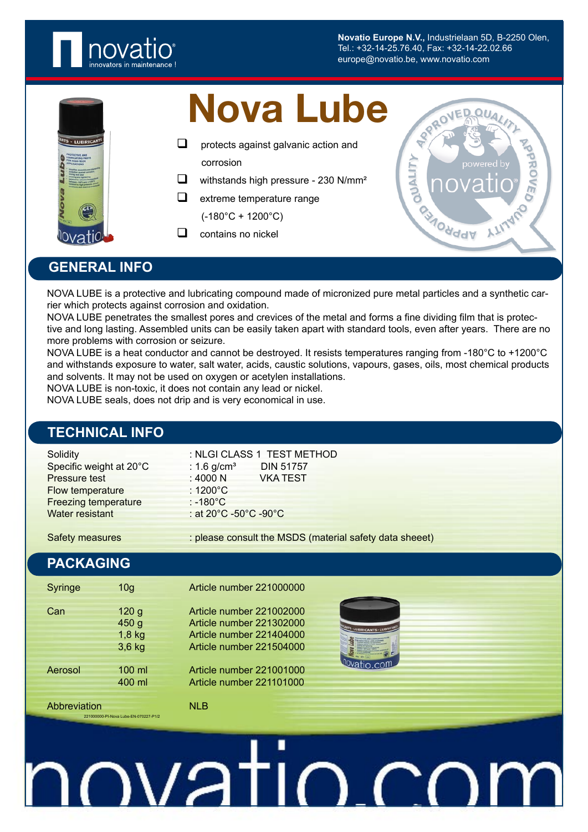

**Novatio Europe N.V.,** Industrielaan 5D, B-2250 Olen, Tel.: +32-14-25.76.40, Fax: +32-14-22.02.66 europe@novatio.be, www.novatio.com



## Nova Lube

- $\Box$  protects against galvanic action and corrosion
- $\Box$  withstands high pressure 230 N/mm<sup>2</sup>
- $\Box$  extreme temperature range

 $(-180^{\circ}C + 1200^{\circ}C)$ 

 $\Box$  contains no nickel



#### **GENERAL INFO**

NOVA LUBE is a protective and lubricating compound made of micronized pure metal particles and a synthetic carrier which protects against corrosion and oxidation.

NOVA LUBE penetrates the smallest pores and crevices of the metal and forms a fine dividing film that is protective and long lasting. Assembled units can be easily taken apart with standard tools, even after years. There are no more problems with corrosion or seizure.

NOVA LUBE is a heat conductor and cannot be destroyed. It resists temperatures ranging from -180°C to +1200°C and withstands exposure to water, salt water, acids, caustic solutions, vapours, gases, oils, most chemical products and solvents. It may not be used on oxygen or acetylen installations.

NOVA LUBE is non-toxic, it does not contain any lead or nickel.

NOVA LUBE seals, does not drip and is very economical in use.

#### **TECHNICAL INFO**

| Solidity                    |                           | : NLGI CLASS 1 TEST METHOD |
|-----------------------------|---------------------------|----------------------------|
| Specific weight at 20°C     | : $1.6$ g/cm <sup>3</sup> | <b>DIN 51757</b>           |
| Pressure test               | : 4000 N                  | <b>VKATEST</b>             |
| Flow temperature            | $:1200^{\circ}$ C         |                            |
| <b>Freezing temperature</b> | $: -180^{\circ}$ C        |                            |
| Water resistant             | : at 20°C -50°C -90°C     |                            |
|                             |                           |                            |

Safety measures : please consult the MSDS (material safety data sheeet)

#### **PACKAGING**

| Syringe      | 10 <sub>q</sub>                                              | Article number 221000000                                                                                     |
|--------------|--------------------------------------------------------------|--------------------------------------------------------------------------------------------------------------|
| Can          | 120 <sub>g</sub><br>450 <sub>g</sub><br>$1,8$ kg<br>$3,6$ kg | Article number 221002000<br>Article number 221302000<br>Article number 221404000<br>Article number 221504000 |
| Aerosol      | $100 \mathrm{ml}$<br>400 ml                                  | Article number 221001000<br>Article number 221101000                                                         |
| Abbreviation |                                                              | NI R                                                                                                         |

221000000-PI-Nova Lube-EN-070227-P1/2



# <u>novatio.co</u>